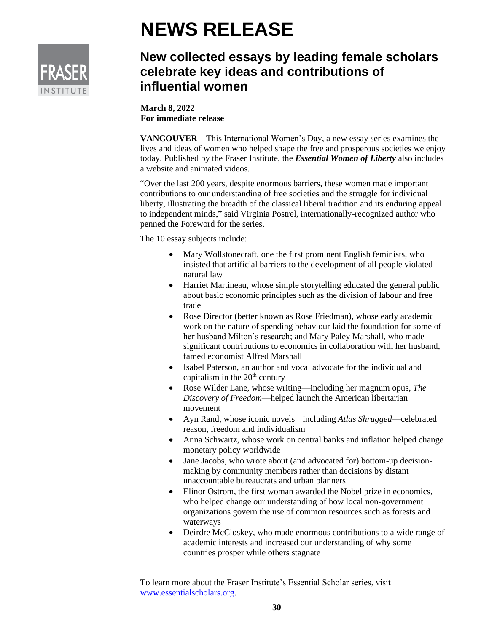

## **NEWS RELEASE**

## **New collected essays by leading female scholars celebrate key ideas and contributions of influential women**

**March 8, 2022 For immediate release**

**VANCOUVER**—This International Women's Day, a new essay series examines the lives and ideas of women who helped shape the free and prosperous societies we enjoy today. Published by the Fraser Institute, the *Essential Women of Liberty* also includes a website and animated videos.

"Over the last 200 years, despite enormous barriers, these women made important contributions to our understanding of free societies and the struggle for individual liberty, illustrating the breadth of the classical liberal tradition and its enduring appeal to independent minds," said Virginia Postrel, internationally-recognized author who penned the Foreword for the series.

The 10 essay subjects include:

- Mary Wollstonecraft, one the first prominent English feminists, who insisted that artificial barriers to the development of all people violated natural law
- Harriet Martineau, whose simple storytelling educated the general public about basic economic principles such as the division of labour and free trade
- Rose Director (better known as Rose Friedman), whose early academic work on the nature of spending behaviour laid the foundation for some of her husband Milton's research; and Mary Paley Marshall, who made significant contributions to economics in collaboration with her husband, famed economist Alfred Marshall
- Isabel Paterson, an author and vocal advocate for the individual and capitalism in the  $20<sup>th</sup>$  century
- Rose Wilder Lane, whose writing—including her magnum opus, *The Discovery of Freedom*—helped launch the American libertarian movement
- Ayn Rand, whose iconic novels—including *Atlas Shrugged*—celebrated reason, freedom and individualism
- Anna Schwartz, whose work on central banks and inflation helped change monetary policy worldwide
- Jane Jacobs, who wrote about (and advocated for) bottom-up decisionmaking by community members rather than decisions by distant unaccountable bureaucrats and urban planners
- Elinor Ostrom, the first woman awarded the Nobel prize in economics, who helped change our understanding of how local non-government organizations govern the use of common resources such as forests and waterways
- Deirdre McCloskey, who made enormous contributions to a wide range of academic interests and increased our understanding of why some countries prosper while others stagnate

To learn more about the Fraser Institute's Essential Scholar series, visit [www.essentialscholars.org.](http://www.essentialscholars.org/)